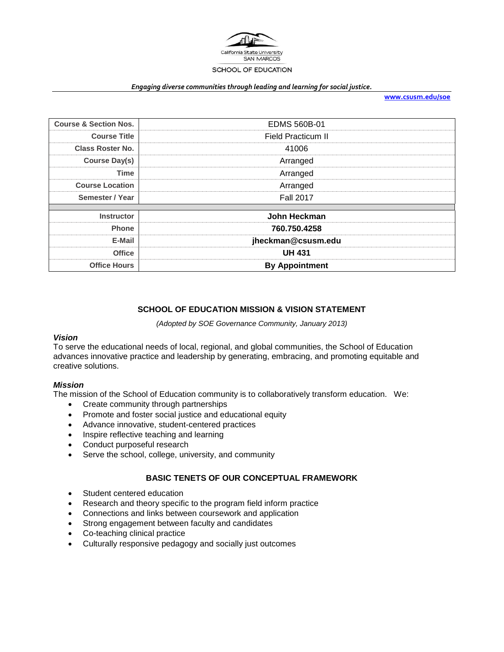

#### *Engaging diverse communities through leading and learning for social justice.*

**[www.csusm.edu/soe](http://www.csusm.edu/soe)**

| <b>Course &amp; Section Nos.</b> | <b>EDMS 560B-01</b>   |
|----------------------------------|-----------------------|
| <b>Course Title</b>              | Field Practicum II    |
| <b>Class Roster No.</b>          | 41006                 |
| <b>Course Day(s)</b>             | Arranged              |
| <b>Time</b>                      | Arranged              |
| <b>Course Location</b>           | Arranged              |
| Semester / Year                  | <b>Fall 2017</b>      |
| <b>Instructor</b>                | John Heckman          |
|                                  |                       |
| <b>Phone</b>                     | 760.750.4258          |
| E-Mail                           | jheckman@csusm.edu    |
| <b>Office</b>                    | <b>UH 431</b>         |
| <b>Office Hours</b>              | <b>By Appointment</b> |

# **SCHOOL OF EDUCATION MISSION & VISION STATEMENT**

*(Adopted by SOE Governance Community, January 2013)*

### *Vision*

To serve the educational needs of local, regional, and global communities, the School of Education advances innovative practice and leadership by generating, embracing, and promoting equitable and creative solutions.

### *Mission*

The mission of the School of Education community is to collaboratively transform education. We:

- Create community through partnerships
- Promote and foster social justice and educational equity
- Advance innovative, student-centered practices
- Inspire reflective teaching and learning
- Conduct purposeful research
- Serve the school, college, university, and community

### **BASIC TENETS OF OUR CONCEPTUAL FRAMEWORK**

- Student centered education
- Research and theory specific to the program field inform practice
- Connections and links between coursework and application
- Strong engagement between faculty and candidates
- Co-teaching clinical practice
- Culturally responsive pedagogy and socially just outcomes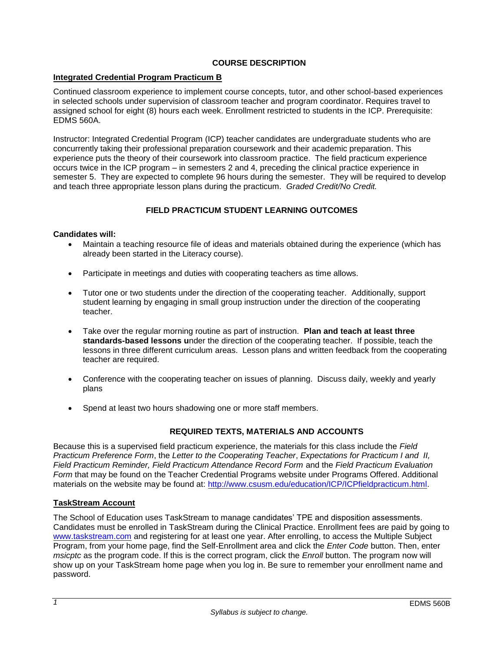# **COURSE DESCRIPTION**

## **Integrated Credential Program Practicum B**

Continued classroom experience to implement course concepts, tutor, and other school-based experiences in selected schools under supervision of classroom teacher and program coordinator. Requires travel to assigned school for eight (8) hours each week. Enrollment restricted to students in the ICP. Prerequisite: EDMS 560A.

Instructor: Integrated Credential Program (ICP) teacher candidates are undergraduate students who are concurrently taking their professional preparation coursework and their academic preparation. This experience puts the theory of their coursework into classroom practice. The field practicum experience occurs twice in the ICP program – in semesters 2 and 4, preceding the clinical practice experience in semester 5. They are expected to complete 96 hours during the semester. They will be required to develop and teach three appropriate lesson plans during the practicum. *Graded Credit/No Credit.* 

# **FIELD PRACTICUM STUDENT LEARNING OUTCOMES**

### **Candidates will:**

- Maintain a teaching resource file of ideas and materials obtained during the experience (which has already been started in the Literacy course).
- Participate in meetings and duties with cooperating teachers as time allows.
- Tutor one or two students under the direction of the cooperating teacher. Additionally, support student learning by engaging in small group instruction under the direction of the cooperating teacher.
- Take over the regular morning routine as part of instruction. **Plan and teach at least three standards-based lessons u**nder the direction of the cooperating teacher. If possible, teach the lessons in three different curriculum areas. Lesson plans and written feedback from the cooperating teacher are required.
- Conference with the cooperating teacher on issues of planning. Discuss daily, weekly and yearly plans
- Spend at least two hours shadowing one or more staff members.

## **REQUIRED TEXTS, MATERIALS AND ACCOUNTS**

Because this is a supervised field practicum experience, the materials for this class include the *Field Practicum Preference Form*, the *Letter to the Cooperating Teacher*, *Expectations for Practicum I and II, Field Practicum Reminder, Field Practicum Attendance Record Form* and the *Field Practicum Evaluation Form* that may be found on the Teacher Credential Programs website under Programs Offered. Additional materials on the website may be found at: [http://www.csusm.edu/education/ICP/ICPfieldpracticum.html.](http://www.csusm.edu/education/ICP/ICPfieldpracticum.html)

### **TaskStream Account**

The School of Education uses TaskStream to manage candidates' TPE and disposition assessments. Candidates must be enrolled in TaskStream during the Clinical Practice. Enrollment fees are paid by going to [www.taskstream.com](http://www.taskstrem.com/) and registering for at least one year. After enrolling, to access the Multiple Subject Program, from your home page, find the Self-Enrollment area and click the *Enter Code* button. Then, enter *msicptc* as the program code. If this is the correct program, click the *Enroll* button. The program now will show up on your TaskStream home page when you log in. Be sure to remember your enrollment name and password.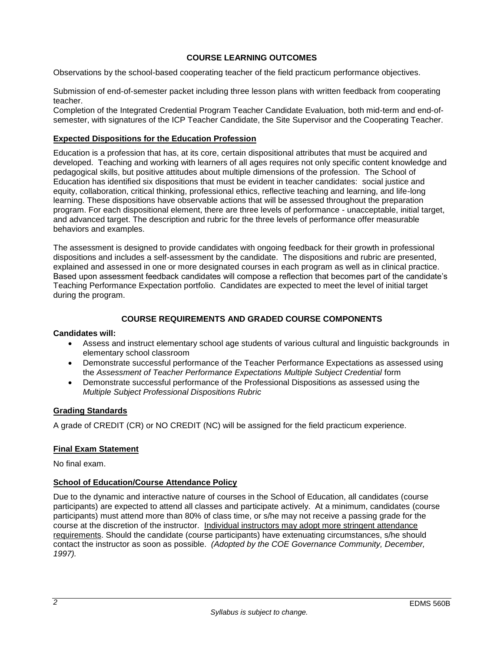## **COURSE LEARNING OUTCOMES**

Observations by the school-based cooperating teacher of the field practicum performance objectives.

Submission of end-of-semester packet including three lesson plans with written feedback from cooperating teacher.

Completion of the Integrated Credential Program Teacher Candidate Evaluation, both mid-term and end-ofsemester, with signatures of the ICP Teacher Candidate, the Site Supervisor and the Cooperating Teacher.

## **Expected Dispositions for the Education Profession**

Education is a profession that has, at its core, certain dispositional attributes that must be acquired and developed. Teaching and working with learners of all ages requires not only specific content knowledge and pedagogical skills, but positive attitudes about multiple dimensions of the profession. The School of Education has identified six dispositions that must be evident in teacher candidates: social justice and equity, collaboration, critical thinking, professional ethics, reflective teaching and learning, and life-long learning. These dispositions have observable actions that will be assessed throughout the preparation program. For each dispositional element, there are three levels of performance - unacceptable, initial target, and advanced target. The description and rubric for the three levels of performance offer measurable behaviors and examples.

The assessment is designed to provide candidates with ongoing feedback for their growth in professional dispositions and includes a self-assessment by the candidate. The dispositions and rubric are presented, explained and assessed in one or more designated courses in each program as well as in clinical practice. Based upon assessment feedback candidates will compose a reflection that becomes part of the candidate's Teaching Performance Expectation portfolio. Candidates are expected to meet the level of initial target during the program.

# **COURSE REQUIREMENTS AND GRADED COURSE COMPONENTS**

## **Candidates will:**

- Assess and instruct elementary school age students of various cultural and linguistic backgrounds in elementary school classroom
- Demonstrate successful performance of the Teacher Performance Expectations as assessed using the *Assessment of Teacher Performance Expectations Multiple Subject Credential* form
- Demonstrate successful performance of the Professional Dispositions as assessed using the *Multiple Subject Professional Dispositions Rubric*

## **Grading Standards**

A grade of CREDIT (CR) or NO CREDIT (NC) will be assigned for the field practicum experience.

## **Final Exam Statement**

No final exam.

## **School of Education/Course Attendance Policy**

Due to the dynamic and interactive nature of courses in the School of Education, all candidates (course participants) are expected to attend all classes and participate actively. At a minimum, candidates (course participants) must attend more than 80% of class time, or s/he may not receive a passing grade for the course at the discretion of the instructor. Individual instructors may adopt more stringent attendance requirements. Should the candidate (course participants) have extenuating circumstances, s/he should contact the instructor as soon as possible. *(Adopted by the COE Governance Community, December, 1997).*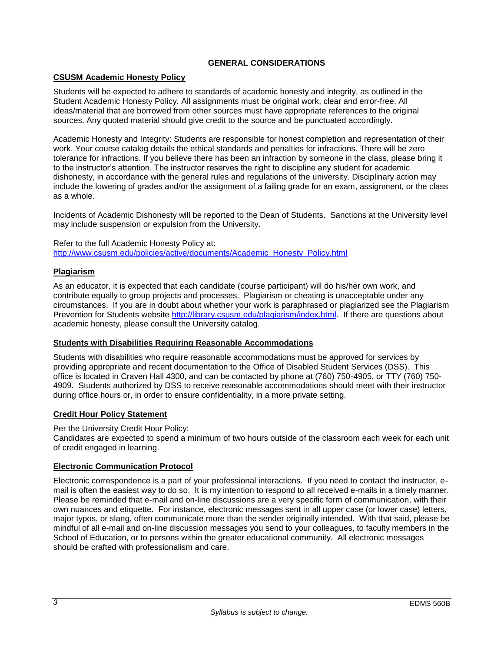## **GENERAL CONSIDERATIONS**

## **CSUSM Academic Honesty Policy**

Students will be expected to adhere to standards of academic honesty and integrity, as outlined in the Student Academic Honesty Policy. All assignments must be original work, clear and error-free. All ideas/material that are borrowed from other sources must have appropriate references to the original sources. Any quoted material should give credit to the source and be punctuated accordingly.

Academic Honesty and Integrity: Students are responsible for honest completion and representation of their work. Your course catalog details the ethical standards and penalties for infractions. There will be zero tolerance for infractions. If you believe there has been an infraction by someone in the class, please bring it to the instructor's attention. The instructor reserves the right to discipline any student for academic dishonesty, in accordance with the general rules and regulations of the university. Disciplinary action may include the lowering of grades and/or the assignment of a failing grade for an exam, assignment, or the class as a whole.

Incidents of Academic Dishonesty will be reported to the Dean of Students. Sanctions at the University level may include suspension or expulsion from the University.

Refer to the full Academic Honesty Policy at: [http://www.csusm.edu/policies/active/documents/Academic\\_Honesty\\_Policy.html](http://www.csusm.edu/policies/active/documents/Academic_Honesty_Policy.html)

### **Plagiarism**

As an educator, it is expected that each candidate (course participant) will do his/her own work, and contribute equally to group projects and processes. Plagiarism or cheating is unacceptable under any circumstances. If you are in doubt about whether your work is paraphrased or plagiarized see the Plagiarism Prevention for Students website [http://library.csusm.edu/plagiarism/index.html.](http://library.csusm.edu/plagiarism/index.html) If there are questions about academic honesty, please consult the University catalog.

### **Students with Disabilities Requiring Reasonable Accommodations**

Students with disabilities who require reasonable accommodations must be approved for services by providing appropriate and recent documentation to the Office of Disabled Student Services (DSS). This office is located in Craven Hall 4300, and can be contacted by phone at (760) 750-4905, or TTY (760) 750- 4909. Students authorized by DSS to receive reasonable accommodations should meet with their instructor during office hours or, in order to ensure confidentiality, in a more private setting.

## **Credit Hour Policy Statement**

Per the University Credit Hour Policy:

Candidates are expected to spend a minimum of two hours outside of the classroom each week for each unit of credit engaged in learning.

## **Electronic Communication Protocol**

Electronic correspondence is a part of your professional interactions. If you need to contact the instructor, email is often the easiest way to do so. It is my intention to respond to all received e-mails in a timely manner. Please be reminded that e-mail and on-line discussions are a very specific form of communication, with their own nuances and etiquette. For instance, electronic messages sent in all upper case (or lower case) letters, major typos, or slang, often communicate more than the sender originally intended. With that said, please be mindful of all e-mail and on-line discussion messages you send to your colleagues, to faculty members in the School of Education, or to persons within the greater educational community. All electronic messages should be crafted with professionalism and care.